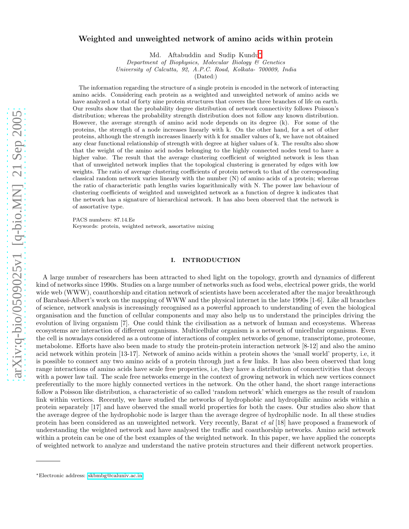# Weighted and unweighted network of amino acids within protein

Md. Aftabuddin and Sudip Kundu[∗](#page-0-0)

Department of Biophysics, Molecular Biology & Genetics

University of Calcutta, 92, A.P.C. Road, Kolkata- 700009, India

(Dated:)

The information regarding the structure of a single protein is encoded in the network of interacting amino acids. Considering each protein as a weighted and unweighted network of amino acids we have analyzed a total of forty nine protein structures that covers the three branches of life on earth. Our results show that the probability degree distribution of network connectivity follows Poisson's distribution; whereas the probability strength distribution does not follow any known distribution. However, the average strength of amino acid node depends on its degree (k). For some of the proteins, the strength of a node increases linearly with k. On the other hand, for a set of other proteins, although the strength increases linaerly with k for smaller values of k, we have not obtained any clear functional relationship of strength with degree at higher values of k. The results also show that the weight of the amino acid nodes belonging to the highly connected nodes tend to have a higher value. The result that the average clustering coefficient of weighted network is less than that of unweighted network implies that the topological clustering is generated by edges with low weights. The ratio of average clustering coefficients of protein network to that of the corresponding classical random network varies linearly with the number (N) of amino acids of a protein; whereas the ratio of characteristic path lengths varies logarithmically with N. The power law behaviour of clustering coefficients of weighted and unweighted network as a function of degree k indicates that the network has a signature of hierarchical network. It has also been observed that the network is of assortative type.

PACS numbers: 87.14.Ee

Keywords: protein, weighted network, assortative mixing

### I. INTRODUCTION

A large number of researchers has been attracted to shed light on the topology, growth and dynamics of different kind of networks since 1990s. Studies on a large number of networks such as food webs, electrical power grids, the world wide web (WWW), coauthorship and citation network of scientists have been accelerated after the major breakthrough of Barabasi-Albert's work on the mapping of WWW and the physical internet in the late 1990s [1-6]. Like all branches of science, network analysis is increasingly recognised as a powerful approach to understanding of even the biological organisation and the function of cellular components and may also help us to understand the principles driving the evolution of living organism [7]. One could think the civilisation as a network of human and ecosystems. Whereas ecosystems are interaction of different organisms. Multicellular organism is a network of unicellular organisms. Even the cell is nowadays considered as a outcome of interactions of complex networks of genome, transcriptome, proteome, metabolome. Efforts have also been made to study the protein-protein interaction network [8-12] and also the amino acid network within protein [13-17]. Network of amino acids within a protein shows the 'small world' property, i.e, it is possible to connect any two amino acids of a protein through just a few links. It has also been observed that long range interactions of amino acids have scale free properties, i.e, they have a distribution of connectivities that decays with a power law tail. The scale free networks emerge in the context of growing network in which new vertices connect preferentially to the more highly connected vertices in the network. On the other hand, the short range interactions follow a Poisson like distribution, a characteristic of so called 'random network' which emerges as the result of random link within vertices. Recently, we have studied the networks of hydrophobic and hydrophilic amino acids within a protein separately [17] and have observed the small world properties for both the cases. Our studies also show that the average degree of the hydrophobic node is larger than the average degree of hydrophilic node. In all these studies protein has been considered as an unweighted network. Very recently, Barat et al [18] have proposed a framework of understanding the weighted network and have analysed the traffic and coauthorship networks. Amino acid network within a protein can be one of the best examples of the weighted network. In this paper, we have applied the concepts of weighted network to analyze and understand the native protein structures and their different network properties.

<span id="page-0-0"></span><sup>∗</sup>Electronic address: [skbmbg@caluniv.ac.in](mailto:skbmbg@caluniv.ac.in)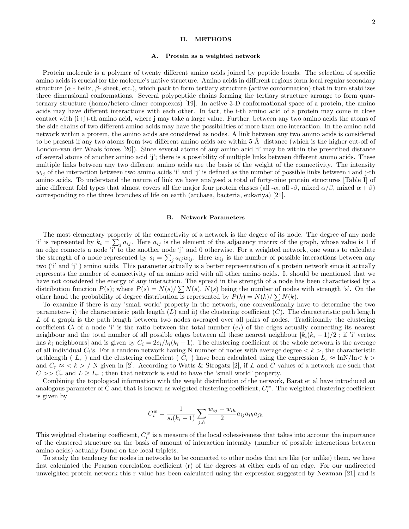#### II. METHODS

#### A. Protein as a weighted network

Protein molecule is a polymer of twenty different amino acids joined by peptide bonds. The selection of specific amino acids is crucial for the molecule's native structure. Amino acids in different regions form local regular secondary structure  $(\alpha$  - helix,  $\beta$ - sheet, etc.), which pack to form tertiary structure (active conformation) that in turn stabilizes three dimensional conformations. Several polypeptide chains forming the tertiary structure arrange to form quarternary structure (homo/hetero dimer complexes) [19]. In active 3-D conformational space of a protein, the amino acids may have different interactions with each other. In fact, the i-th amino acid of a protein may come in close contact with  $(i+j)$ -th amino acid, where j may take a large value. Further, between any two amino acids the atoms of the side chains of two different amino acids may have the possibilities of more than one interaction. In the amino acid network within a protein, the amino acids are considered as nodes. A link between any two amino acids is considered to be present if any two atoms from two different amino acids are within  $5 \text{ Å}$  distance (which is the higher cut-off of London-van der Waals forces [20]). Since several atoms of any amino acid 'i' may be within the prescribed distance of several atoms of another amino acid 'j'; there is a possibility of multiple links between different amino acids. These multiple links between any two different amino acids are the basis of the weight of the connectivity. The intensity  $w_{ij}$  of the interaction between two amino acids 'i' and 'j' is defined as the number of possible links between i and j-th amino acids. To understand the nature of link we have analysed a total of forty-nine protein structures [Table I] of nine different fold types that almost covers all the major four protein classes (all - $\alpha$ , all - $\beta$ , mixed  $\alpha/\beta$ , mixed  $\alpha + \beta$ ) corresponding to the three branches of life on earth (archaea, bacteria, eukariya) [21].

# B. Network Parameters

The most elementary property of the connectivity of a network is the degere of its node. The degree of any node 'i' is represented by  $k_i = \sum_j a_{ij}$ . Here  $a_{ij}$  is the element of the adjacency matrix of the graph, whose value is 1 if an edge connects a node 'i' to the another node 'j' and 0 otherwise. For a weighted network, one wants to calculate the strength of a node represented by  $s_i = \sum_j a_{ij} w_{ij}$ . Here  $w_{ij}$  is the number of possible interactions between any two ('i' and 'j' ) amino acids. This parameter actually is a better representation of a protein network since it actually represents the number of connectivity of an amino acid with all other amino acids. It should be mentioned that we have not considered the energy of any interaction. The spread in the strength of a node has been characterised by a distribution function  $P(s)$ ; where  $P(s) = N(s)/\sum N(s)$ ,  $N(s)$  being the number of nodes with strength 's'. On the other hand the probability of degree distribution is represented by  $P(k) = N(k)/\sum N(k)$ .

To examine if there is any 'small world' property in the network, one conventionally have to determine the two parameters- i) the characteristic path length  $(L)$  and ii) the clustering coefficient  $(C)$ . The characteristic path length L of a graph is the path length between two nodes averaged over all pairs of nodes. Traditionally the clustering coefficient  $C_i$  of a node 'i' is the ratio between the total number  $(e_i)$  of the edges actually connecting its nearest neighbour and the total number of all possible edges between all these nearest neighbour  $[k_i(k_i - 1)/2]$ ; if 'i' vertex has  $k_i$  neighbours] and is given by  $C_i = 2e_i/k_i(k_i - 1)$ . The clustering coefficient of the whole network is the average of all individual  $C_i$ 's. For a random network having N number of nodes with average degree  $\lt k$ , the characteristic pathlength ( $L_r$ ) and the clustering coefficient ( $C_r$ ) have been calculated using the expression  $L_r \approx \ln N/\ln \langle k \rangle$ and  $C_r \approx \langle k \rangle / N$  given in [2]. According to Watts & Strogatz [2], if L and C values of a network are such that  $C >> C_r$  and  $L \geq L_r$ ; then that network is said to have the 'small world' property.

Combining the topological information with the weight distribution of the network, Barat et al have introduced an analogous parameter of C and that is known as weighted clustering coefficient,  $C_i^w$ . The weighted clustering coefficient is given by

$$
C_i^w = \frac{1}{s_i(k_i-1)} \sum_{j,h} \frac{w_{ij} + w_{ih}}{2} a_{ij} a_{ih} a_{jh}
$$

This weighted clustering coefficient,  $C_i^w$  is a measure of the local cohessiveness that takes into account the importance of the clustered structure on the basis of amount of interaction intensity (number of possible interactions between amino acids) actually found on the local triplets.

To study the tendency for nodes in networks to be connected to other nodes that are like (or unlike) them, we have first calculated the Pearson correlation coefficient (r) of the degrees at either ends of an edge. For our undirected unweighted protein network this r value has been calculated using the expression suggested by Newman [21] and is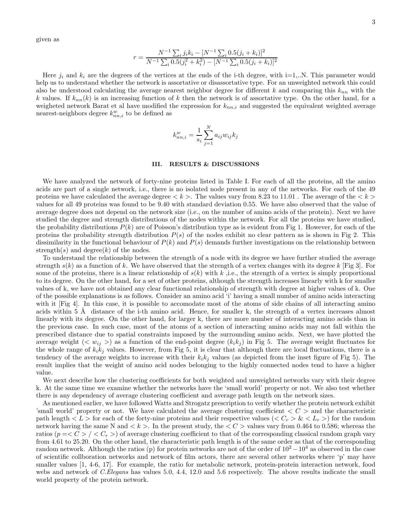given as

$$
r = \frac{N^{-1} \sum_{i} j_{i} k_{i} - [N^{-1} \sum_{i} 0.5(j_{i} + k_{i})]^{2}}{N^{-1} \sum_{i} 0.5(j_{i}^{2} + k_{i}^{2}) - [N^{-1} \sum_{i} 0.5(j_{i} + k_{i})]^{2}}
$$

Here  $j_i$  and  $k_i$  are the degrees of the vertices at the ends of the i-th degree, with i=1,..N. This parameter would help us to understand whether the network is assortative or disassortative type. For an unweighted network this could also be understood calculating the average nearest neighbor degree for different k and comparing this  $k_{nn}$  with the k values. If  $k_{nn}(k)$  is an increasing function of k then the network is of assortative type. On the other hand, for a weigheted network Barat et al have modified the expression for  $k_{nn,i}$  and suggested the equivalent weighted average nearest-neighbors degree  $k_{nn,i}^w$  to be defined as

$$
k_{nn,i}^{w} = \frac{1}{s_i} \sum_{j=1}^{N} a_{ij} w_{ij} k_j
$$

# III. RESULTS & DISCUSSIONS

We have analyzed the network of forty-nine proteins listed in Table I. For each of all the proteins, all the amino acids are part of a single network, i.e., there is no isolated node present in any of the networks. For each of the 49 proteins we have calculated the average degree  $\langle k \rangle$ . The values vary from 8.23 to 11.01. The average of the  $\langle k \rangle$ values for all 49 proteins was found to be 9.40 with standard deviation 0.55. We have also observed that the value of average degree does not depend on the network size (i.e., on the number of amino acids of the protein). Next we have studied the degree and strength distributions of the nodes within the network. For all the proteins we have studied, the probability distributions  $P(k)$  are of Poisson's distribution type as is evident from Fig 1. However, for each of the proteins the probability strength distribution  $P(s)$  of the nodes exhibit no clear pattern as is shown in Fig 2. This dissimilarity in the functional behaviour of  $P(k)$  and  $P(s)$  demands further investigations on the relationship between strength(s) and degree(k) of the nodes.

To understand the relationship between the strength of a node with its degree we have further studied the average strength  $s(k)$  as a function of k. We have observed that the strength of a vertex changes with its degree k [Fig 3]. For some of the proteins, there is a linear relationship of  $s(k)$  with k , i.e., the strength of a vertex is simply proportional to its degree. On the other hand, for a set of other proteins, although the strength increases linearly with k for smaller values of k, we have not obtained any clear functional relationship of strength with degree at higher values of k. One of the possible explanations is as follows. Consider an amino acid 'i' having a small number of amino acids interacting with it [Fig 4]. In this case, it is possible to accomodate most of the atoms of side chains of all interacting amino acids within 5 Å distance of the i-th amino acid. Hence, for smaller k, the strength of a vertex increases almost linearly with its degree. On the other hand, for larger k, there are more number of interacting amino acids than in the previous case. In such case, most of the atoms of a section of interacting amino acids may not fall within the prescribed distance due to spatial constraints imposed by the surrounding amino acids. Next, we have plotted the average weight (<  $w_{ij}$  >) as a function of the end-point degree  $(k_ik_j)$  in Fig 5. The average weight fluctuates for the whole range of  $k_i k_j$  values. However, from Fig 5, it is clear that although there are local fluctuations, there is a tendency of the average weights to increase with their  $k_i k_j$  values (as depicted from the inset figure of Fig 5). The result implies that the weight of amino acid nodes belonging to the highly connected nodes tend to have a higher value.

We next describe how the clustering coefficients for both weighted and unweighted networks vary with their degree k. At the same time we examine whether the networks have the 'small world' property or not. We also test whether there is any dependency of average clustering coefficient and average path length on the network sizes.

As mentioned earlier, we have followed Watts and Strogatz prescription to verify whether the protein network exhibit 'small world' property or not. We have calculated the average clustering coefficient  $\langle C \rangle$  and the characteristic path length  $\langle L \rangle$  for each of the forty-nine proteins and their respective values  $\langle C_r \rangle \& \langle L_r \rangle$  for the random network having the same N and  $\lt k$ . In the present study, the  $\lt C$   $>$  values vary from 0.464 to 0.586; whereas the ratios ( $p = < C > / < C_r >$ ) of average clustering coefficient to that of the corresponding classical random graph vary from 4.61 to 25.20. On the other hand, the characteristic path length is of the same order as that of the corresponding random network. Although the ratios (p) for protein networks are not of the order of  $10^2 - 10^4$  as observed in the case of scientific collboration networks and network of film actors, there are several other networks where 'p' may have smaller values [1, 4-6, 17]. For example, the ratio for metabolic network, protein-protein interaction network, food webs and network of C.Elegans has values 5.0, 4.4, 12.0 and 5.6 respectively. The above results indicate the small world property of the protein network.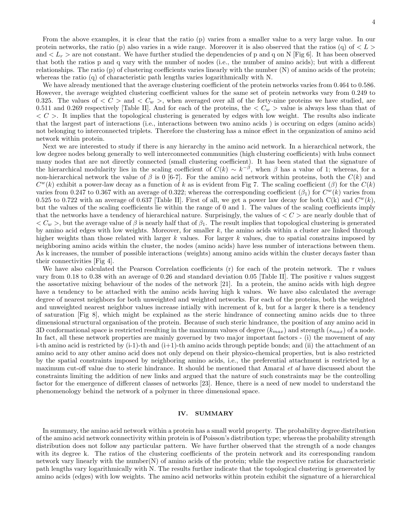From the above examples, it is clear that the ratio (p) varies from a smaller value to a very large value. In our protein networks, the ratio (p) also varies in a wide range. Moreover it is also observed that the ratios (q) of  $\langle L \rangle$ and  $\langle L_r \rangle$  are not constant. We have further studied the dependencies of p and q on N [Fig 6]. It has been observed that both the ratios p and q vary with the number of nodes (i.e., the number of amino acids); but with a different relationships. The ratio (p) of clustering coefficients varies linearly with the number (N) of amino acids of the protein; whereas the ratio (q) of characteristic path lengths varies logarithmically with N.

We have already mentioned that the average clustering coefficient of the protein networks varies from 0.464 to 0.586. However, the average weighted clustering coefficient values for the same set of protein networks vary from 0.249 to 0.325. The values of  $\langle C \rangle$  and  $\langle C_w \rangle$ , when averaged over all of the forty-nine proteins we have studied, are 0.511 and 0.269 respectively [Table II]. And for each of the proteins, the  $\langle C_w \rangle$  value is always less than that of  $\langle C \rangle$ . It implies that the topological clustering is generated by edges with low weight. The results also indicate that the largest part of interactions (i.e., interactions between two amino acids ) is occuring on edges (amino acids) not belonging to interconnected triplets. Therefore the clustering has a minor effect in the organization of amino acid network within protein.

Next we are interested to study if there is any hierarchy in the amino acid network. In a hierarchical network, the low degree nodes belong generally to well interconnected communities (high clustering coefficients) with hubs connect many nodes that are not directly connected (small clustering coefficient). It has been stated that the signature of the hierarchical modularity lies in the scaling coefficient of  $\tilde{C}(k) \sim k^{-\beta}$ , when  $\beta$  has a value of 1; whereas, for a non-hierarchical network the value of  $\beta$  is 0 [6-7]. For the amino acid network within proteins, both the  $C(k)$  and  $C<sup>w</sup>(k)$  exhibit a power-law decay as a function of k as is evident from Fig 7. The scaling coefficient ( $\beta$ ) for the  $C(k)$ varies from 0.247 to 0.367 with an average of 0.322; whereas the corresponding coefficient  $(\beta_1)$  for  $C^w(k)$  varies from 0.525 to 0.722 with an average of 0.637 [Table II]. First of all, we get a power law decay for both  $C(k)$  and  $C<sup>w</sup>(k)$ , but the values of the scaling coefficients lie within the range of 0 and 1. The values of the scaling coefficients imply that the networks have a tendency of hierarchical nature. Surprisingly, the values of  $\langle C \rangle$  are nearly double that of  $\langle C_w \rangle$ , but the average value of  $\beta$  is nearly half that of  $\beta_1$ . The result implies that topological clustering is generated by amino acid edges with low weights. Moreover, for smaller  $k$ , the amino acids within a cluster are linked through higher weights than those related with larger  $k$  values. For larger  $k$  values, due to spatial constrains imposed by neighboring amino acids within the cluster, the nodes (amino acids) have less number of interactions between them. As k increases, the number of possible interactions (weights) among amino acids within the cluster decays faster than their connectivities [Fig 4].

We have also calculated the Pearson Correlation coefficients (r) for each of the protein network. The r values vary from 0.18 to 0.38 with an average of 0.26 and standard deviation 0.05 [Table II]. The positive r values suggest the assortative mixing behaviour of the nodes of the network [21]. In a protein, the amino acids with high degree have a tendency to be attached with the amino acids having high k values. We have also calculated the average degree of nearest neighbors for both unweighted and weighted networks. For each of the proteins, both the weighted and unweighted nearest neighbor values increase intially with increment of k, but for a larger k there is a tendency of saturation [Fig 8], which might be explained as the steric hindrance of connecting amino acids due to three dimensional structural organisation of the protein. Because of such steric hindrance, the position of any amino acid in 3D conformational space is restricted resulting in the maximum values of degree  $(k_{max})$  and strength  $(s_{max})$  of a node. In fact, all these network properties are mainly governed by two major important factors - (i) the movement of any i-th amino acid is restricted by  $(i-1)$ -th and  $(i+1)$ -th amino acids through peptide bonds; and  $(ii)$  the attachment of an amino acid to any other amino acid does not only depend on their physico-chemical properties, but is also restricted by the spatial constraints imposed by neighboring amino acids, i.e., the preferential attachment is restricted by a maximum cut-off value due to steric hindrance. It should be mentioned that Amaral *et al* have discussed about the constraints limiting the addition of new links and argued that the nature of such constraints may be the controlling factor for the emergence of different classes of networks [23]. Hence, there is a need of new model to understand the phenomenology behind the network of a polymer in three dimensional space.

#### IV. SUMMARY

In summary, the amino acid network within a protein has a small world property. The probability degree distribution of the amino acid network connectivity within protein is of Poisson's distribution type; whereas the probability strength distribution does not follow any particular pattern. We have further observed that the strength of a node changes with its degree k. The ratios of the clustering coefficients of the protein network and its corresponding random network vary linearly with the number(N) of amino acids of the protein; while the respective ratios for characteristic path lengths vary logarithmically with N. The results further indicate that the topological clustering is genereated by amino acids (edges) with low weights. The amino acid networks within protein exhibit the signature of a hierarchical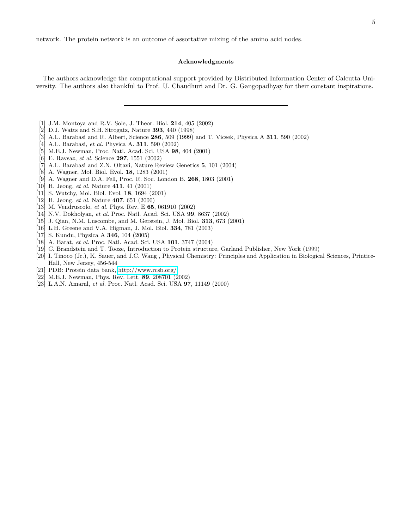network. The protein network is an outcome of assortative mixing of the amino acid nodes.

## Acknowledgments

The authors acknowledge the computational support provided by Distributed Information Center of Calcutta University. The authors also thankful to Prof. U. Chaudhuri and Dr. G. Gangopadhyay for their constant inspirations.

- [1] J.M. Montoya and R.V. Sole, J. Theor. Biol. 214, 405 (2002)
- [2] D.J. Watts and S.H. Strogatz, Nature 393, 440 (1998)
- [3] A.L. Barabasi and R. Albert, Science 286, 509 (1999) and T. Vicsek, Physica A 311, 590 (2002)
- [4] A.L. Barabasi, *et al.* Physica A. **311**, 590 (2002)
- [5] M.E.J. Newman, Proc. Natl. Acad. Sci. USA 98, 404 (2001)
- [6] E. Ravsaz, et al. Science 297, 1551 (2002)
- [7] A.L. Barabasi and Z.N. Oltavi, Nature Review Genetics 5, 101 (2004)
- [8] A. Wagner, Mol. Biol. Evol. 18, 1283 (2001)
- [9] A. Wagner and D.A. Fell, Proc. R. Soc. London B. 268, 1803 (2001)
- [10] H. Jeong, et al. Nature **411**, 41 (2001)
- [11] S. Wutchy, Mol. Biol. Evol. 18, 1694 (2001)
- [12] H. Jeong, *et al.* Nature  $407, 651$  (2000)
- [13] M. Vendruscolo, et al. Phys. Rev. E 65, 061910 (2002)
- [14] N.V. Dokholyan, et al. Proc. Natl. Acad. Sci. USA 99, 8637 (2002)
- [15] J. Qian, N.M. Luscombe, and M. Gerstein, J. Mol. Biol. 313, 673 (2001)
- [16] L.H. Greene and V.A. Higman, J. Mol. Biol. 334, 781 (2003)
- [17] S. Kundu, Physica A 346, 104 (2005)
- [18] A. Barat, et al. Proc. Natl. Acad. Sci. USA 101, 3747 (2004)
- [19] C. Brandstein and T. Tooze, Introduction to Protein structure, Garland Publisher, New York (1999)
- [20] I. Tinoco (Jr.), K. Sauer, and J.C. Wang , Physical Chemistry: Principles and Application in Biological Sciences, Printice-Hall, New Jersey, 456-544
- [21] PDB: Protein data bank,<http://www.rcsb.org/>
- [22] M.E.J. Newman, Phys. Rev. Lett. 89, 208701 (2002)
- [23] L.A.N. Amaral, et al. Proc. Natl. Acad. Sci. USA 97, 11149 (2000)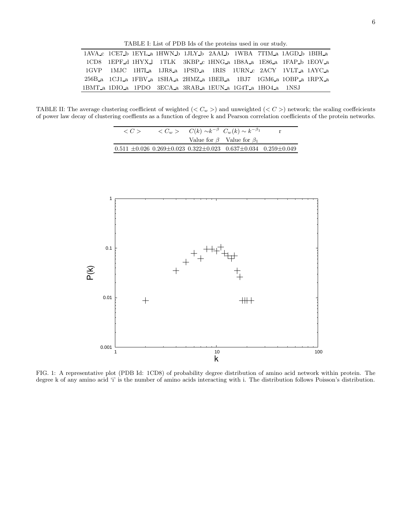TABLE I: List of PDB Ids of the proteins used in our study.

|  |  | 1AVA c 1CE7 b 1EYL a 1HWN b 1JLY b 2AAL b 1WBA 7TIM a 1AGD b 1BIH a |  |  |  |
|--|--|---------------------------------------------------------------------|--|--|--|
|  |  | 1CD8 1EPF d 1HYX 1 1TLK 3KBP c 1HNG a 1B8A a 1E86 a 1FAP b 1EOV a   |  |  |  |
|  |  | 1GVP 1MJC 1H7La 1JR8_a 1PSD_a 1RIS 1URN_c 2ACY 1VLT_a 1AYC_a        |  |  |  |
|  |  | 256B a 1CJ1 a 1FBV a 1SHA a 2HMZ a 1BEB a 1BJ7 1GM6 a 1OBP a 1RPX a |  |  |  |
|  |  | 1BMT a 1DIO a 1PDO 3ECA a 3RAB a 1EUN a 1G4T a 1HO4 a 1NSJ          |  |  |  |

TABLE II: The average clustering coefficient of weighted ( $\lt C_w$ ) and unweighted ( $\lt C$ ) network; the scaling coeffeicients of power law decay of clustering coeffients as a function of degree k and Pearson correlation coefficients of the protein networks.

L.

| $\langle C \rangle$ |  | $\langle C_w \rangle$ $C(k) \sim k^{-\beta} C_w(k) \sim k^{-\beta_1}$                     |  |
|---------------------|--|-------------------------------------------------------------------------------------------|--|
|                     |  | Value for $\beta$ Value for $\beta_1$                                                     |  |
|                     |  | $0.511 \pm 0.026$ $0.269 \pm 0.023$ $0.322 \pm 0.023$ $0.637 \pm 0.034$ $0.259 \pm 0.049$ |  |



FIG. 1: A representative plot (PDB Id: 1CD8) of probability degree distribution of amino acid network within protein. The degree k of any amino acid 'i' is the number of amino acids interacting with i. The distribution follows Poisson's distribution.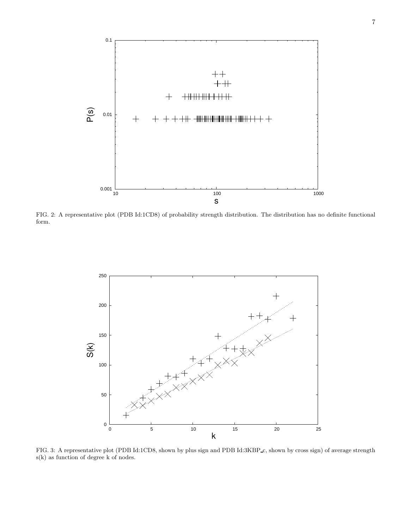

FIG. 2: A representative plot (PDB Id:1CD8) of probability strength distribution. The distribution has no definite functional form.



FIG. 3: A representative plot (PDB Id:1CD8, shown by plus sign and PDB Id:3KBP c, shown by cross sign) of average strength s(k) as function of degree k of nodes.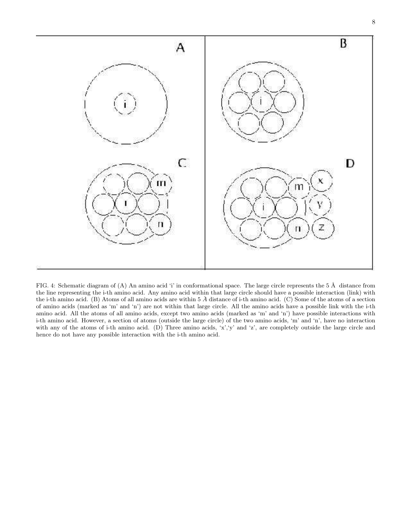

FIG. 4: Schematic diagram of (A) An amino acid 'i' in conformational space. The large circle represents the  $5 \text{ Å}$  distance from the line representing the i-th amino acid. Any amino acid within that large circle should have a possible interaction (link) with the i-th amino acid. (B) Atoms of all amino acids are within  $5 \text{ Å}$  distance of i-th amino acid. (C) Some of the atoms of a section of amino acids (marked as 'm' and 'n') are not within that large circle. All the amino acids have a possible link with the i-th amino acid. All the atoms of all amino acids, except two amino acids (marked as 'm' and 'n') have possible interactions with i-th amino acid. However, a section of atoms (outside the large circle) of the two amino acids, 'm' and 'n', have no interaction with any of the atoms of i-th amino acid. (D) Three amino acids, 'x', 'y' and 'z', are completely outside the large circle and hence do not have any possible interaction with the i-th amino acid.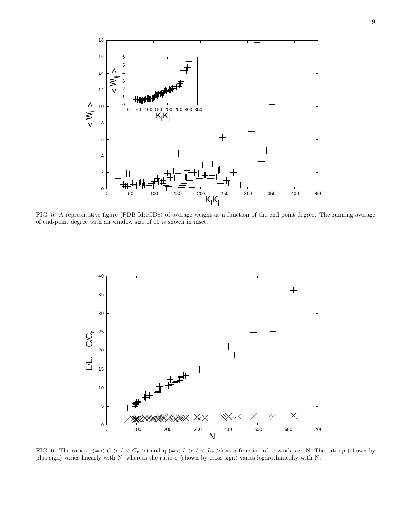

FIG. 5: A represntative figure (PDB Id:1CD8) of average weight as a function of the end-point degree. The running average of end-point degree with an window size of 15 is shown in inset.



FIG. 6: The ratios  $p(=*C* > / *C<sub>r</sub>* >)$  and  $q(=*L* > / *L<sub>r</sub>* >)$  as a function of network size N. The ratio p (shown by plus sign) varies linearly with N; whereas the ratio q (shown by cross sign) varies logarothmically with N.